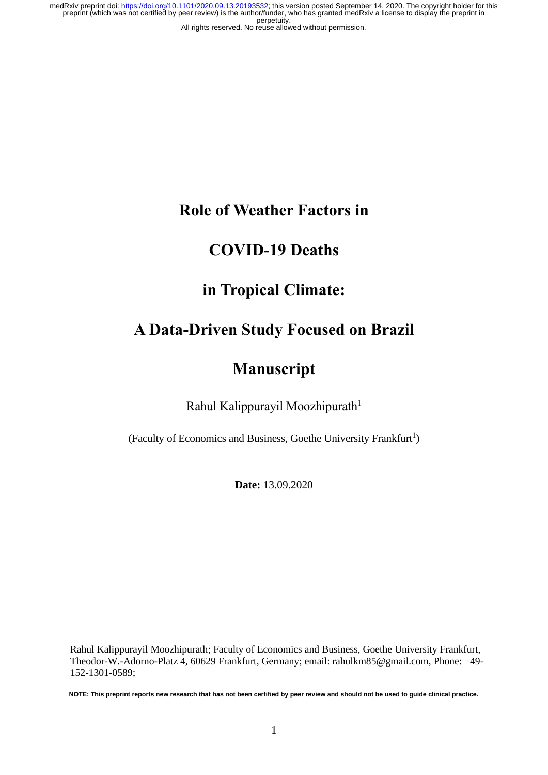### **Role of Weather Factors in**

### **COVID-19 Deaths**

# **in Tropical Climate:**

# **A Data-Driven Study Focused on Brazil**

## **Manuscript**

Rahul Kalippurayil Moozhipurath<sup>1</sup>

(Faculty of Economics and Business, Goethe University Frankfurt<sup>1</sup>)

**Date:** 13.09.2020

Rahul Kalippurayil Moozhipurath; Faculty of Economics and Business, Goethe University Frankfurt, Theodor-W.-Adorno-Platz 4, 60629 Frankfurt, Germany; email: rahulkm85@gmail.com, Phone: +49- 152-1301-0589;

**NOTE: This preprint reports new research that has not been certified by peer review and should not be used to guide clinical practice.**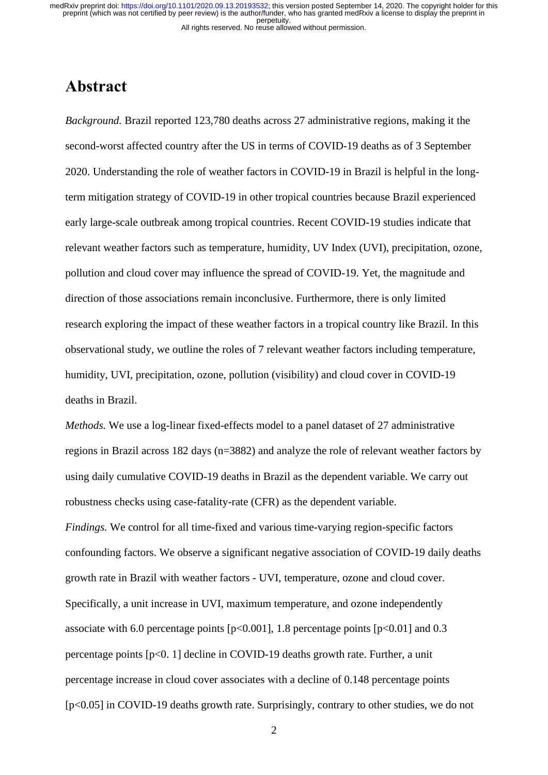### <span id="page-1-0"></span>**Abstract**

*Background.* Brazil reported 123,780 deaths across 27 administrative regions, making it the second-worst affected country after the US in terms of COVID-19 deaths as of 3 September 2020. Understanding the role of weather factors in COVID-19 in Brazil is helpful in the longterm mitigation strategy of COVID-19 in other tropical countries because Brazil experienced early large-scale outbreak among tropical countries. Recent COVID-19 studies indicate that relevant weather factors such as temperature, humidity, UV Index (UVI), precipitation, ozone, pollution and cloud cover may influence the spread of COVID-19. Yet, the magnitude and direction of those associations remain inconclusive. Furthermore, there is only limited research exploring the impact of these weather factors in a tropical country like Brazil. In this observational study, we outline the roles of 7 relevant weather factors including temperature, humidity, UVI, precipitation, ozone, pollution (visibility) and cloud cover in COVID-19 deaths in Brazil.

*Methods.* We use a log-linear fixed-effects model to a panel dataset of 27 administrative regions in Brazil across 182 days (n=3882) and analyze the role of relevant weather factors by using daily cumulative COVID-19 deaths in Brazil as the dependent variable. We carry out robustness checks using case-fatality-rate (CFR) as the dependent variable. *Findings.* We control for all time-fixed and various time-varying region-specific factors confounding factors. We observe a significant negative association of COVID-19 daily deaths growth rate in Brazil with weather factors - UVI, temperature, ozone and cloud cover. Specifically, a unit increase in UVI, maximum temperature, and ozone independently associate with 6.0 percentage points  $[p<0.001]$ , 1.8 percentage points  $[p<0.01]$  and 0.3 percentage points [p<0. 1] decline in COVID-19 deaths growth rate. Further, a unit percentage increase in cloud cover associates with a decline of 0.148 percentage points [p<0.05] in COVID-19 deaths growth rate. Surprisingly, contrary to other studies, we do not

2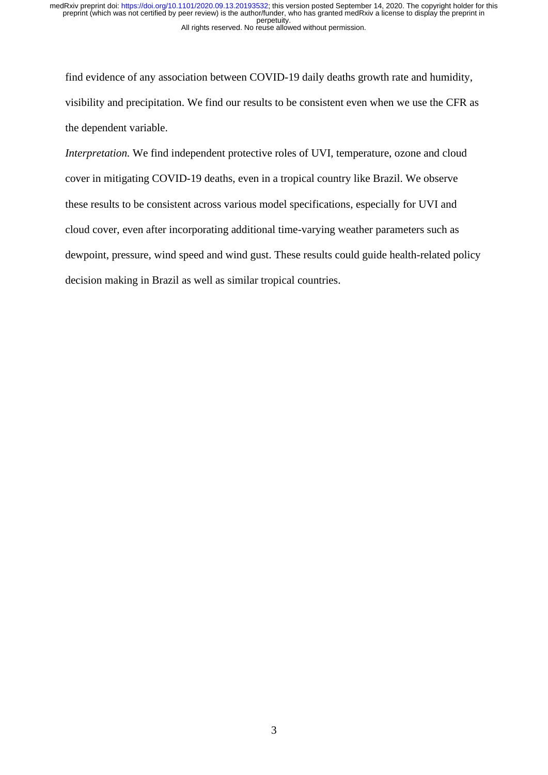find evidence of any association between COVID-19 daily deaths growth rate and humidity, visibility and precipitation. We find our results to be consistent even when we use the CFR as the dependent variable.

*Interpretation.* We find independent protective roles of UVI, temperature, ozone and cloud cover in mitigating COVID-19 deaths, even in a tropical country like Brazil. We observe these results to be consistent across various model specifications, especially for UVI and cloud cover, even after incorporating additional time-varying weather parameters such as dewpoint, pressure, wind speed and wind gust. These results could guide health-related policy decision making in Brazil as well as similar tropical countries.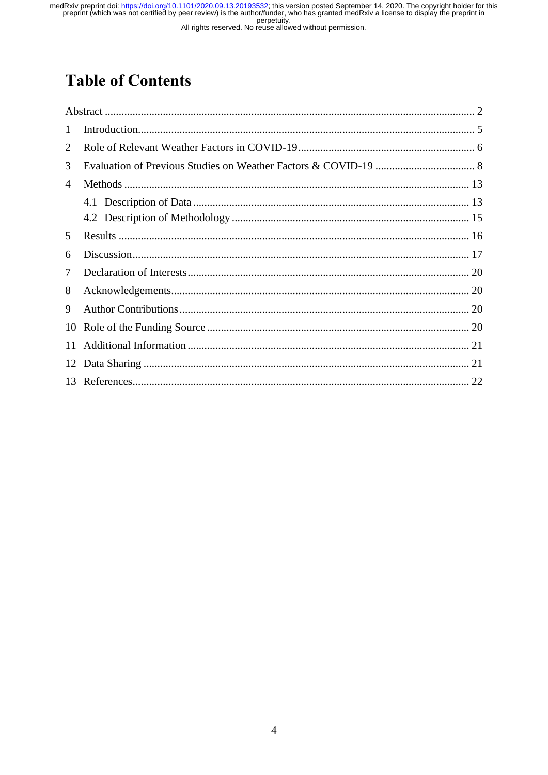medRxiv preprint doi: https://doi.org/10.1101/2020.09.13.20193532; this version posted September 14, 2020. The copyright holder for this preprint (which was not certified by peer review) is the author/funder, who has grant

# **Table of Contents**

| 1  |  |
|----|--|
| 2  |  |
| 3  |  |
| 4  |  |
|    |  |
|    |  |
| 5  |  |
| 6  |  |
| 7  |  |
| 8  |  |
| 9  |  |
|    |  |
| 11 |  |
|    |  |
|    |  |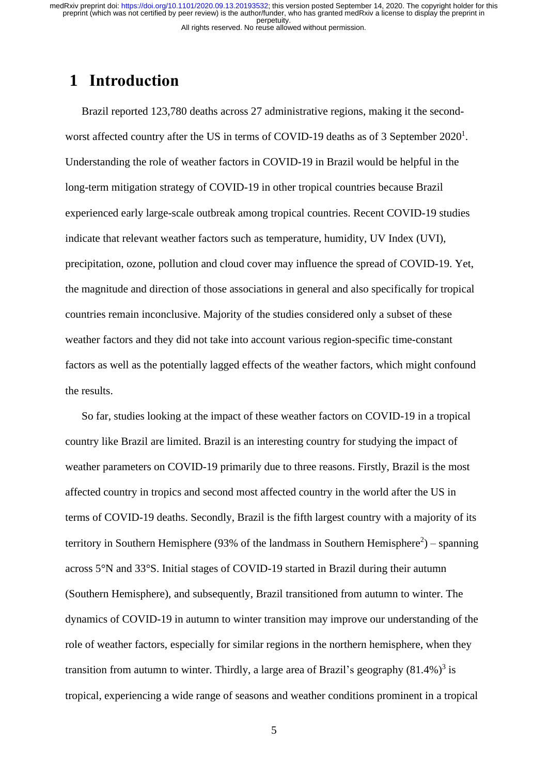### <span id="page-4-0"></span>**1 Introduction**

Brazil reported 123,780 deaths across 27 administrative regions, making it the secondworst affected country after the US in terms of COVID-19 deaths as of 3 September 2020<sup>1</sup>. Understanding the role of weather factors in COVID-19 in Brazil would be helpful in the long-term mitigation strategy of COVID-19 in other tropical countries because Brazil experienced early large-scale outbreak among tropical countries. Recent COVID-19 studies indicate that relevant weather factors such as temperature, humidity, UV Index (UVI), precipitation, ozone, pollution and cloud cover may influence the spread of COVID-19. Yet, the magnitude and direction of those associations in general and also specifically for tropical countries remain inconclusive. Majority of the studies considered only a subset of these weather factors and they did not take into account various region-specific time-constant factors as well as the potentially lagged effects of the weather factors, which might confound the results.

So far, studies looking at the impact of these weather factors on COVID-19 in a tropical country like Brazil are limited. Brazil is an interesting country for studying the impact of weather parameters on COVID-19 primarily due to three reasons. Firstly, Brazil is the most affected country in tropics and second most affected country in the world after the US in terms of COVID-19 deaths. Secondly, Brazil is the fifth largest country with a majority of its territory in Southern Hemisphere (93% of the landmass in Southern Hemisphere<sup>2</sup>) – spanning across 5°N and 33°S. Initial stages of COVID-19 started in Brazil during their autumn (Southern Hemisphere), and subsequently, Brazil transitioned from autumn to winter. The dynamics of COVID-19 in autumn to winter transition may improve our understanding of the role of weather factors, especially for similar regions in the northern hemisphere, when they transition from autumn to winter. Thirdly, a large area of Brazil's geography  $(81.4\%)^3$  is tropical, experiencing a wide range of seasons and weather conditions prominent in a tropical

5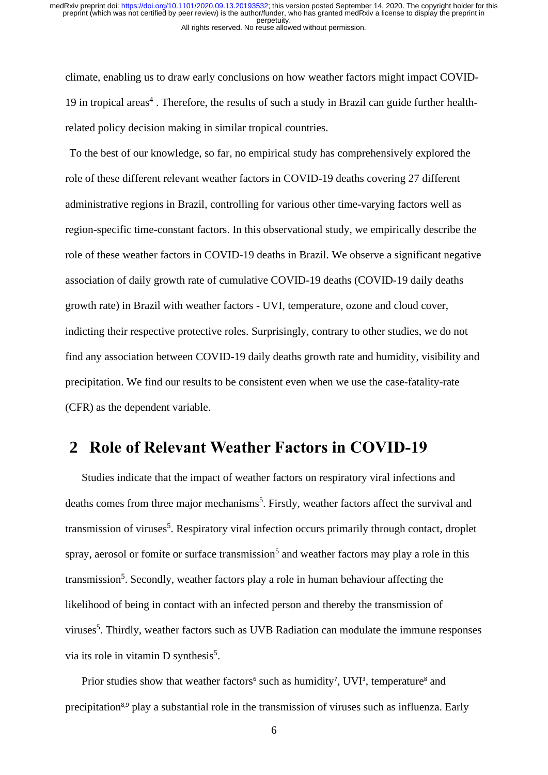climate, enabling us to draw early conclusions on how weather factors might impact COVID-19 in tropical areas<sup>4</sup>. Therefore, the results of such a study in Brazil can guide further healthrelated policy decision making in similar tropical countries.

To the best of our knowledge, so far, no empirical study has comprehensively explored the role of these different relevant weather factors in COVID-19 deaths covering 27 different administrative regions in Brazil, controlling for various other time-varying factors well as region-specific time-constant factors. In this observational study, we empirically describe the role of these weather factors in COVID-19 deaths in Brazil. We observe a significant negative association of daily growth rate of cumulative COVID-19 deaths (COVID-19 daily deaths growth rate) in Brazil with weather factors - UVI, temperature, ozone and cloud cover, indicting their respective protective roles. Surprisingly, contrary to other studies, we do not find any association between COVID-19 daily deaths growth rate and humidity, visibility and precipitation. We find our results to be consistent even when we use the case-fatality-rate (CFR) as the dependent variable.

### <span id="page-5-0"></span>**2 Role of Relevant Weather Factors in COVID-19**

Studies indicate that the impact of weather factors on respiratory viral infections and deaths comes from three major mechanisms<sup>5</sup>. Firstly, weather factors affect the survival and transmission of viruses<sup>5</sup>. Respiratory viral infection occurs primarily through contact, droplet spray, aerosol or fomite or surface transmission<sup>5</sup> and weather factors may play a role in this transmission<sup>5</sup>. Secondly, weather factors play a role in human behaviour affecting the likelihood of being in contact with an infected person and thereby the transmission of viruses<sup>5</sup>. Thirdly, weather factors such as UVB Radiation can modulate the immune responses via its role in vitamin D synthesis<sup>5</sup>.

Prior studies show that weather factors<sup>6</sup> such as humidity<sup>7</sup>, UVI<sup>3</sup>, temperature<sup>8</sup> and precipitation<sup>8,9</sup> play a substantial role in the transmission of viruses such as influenza. Early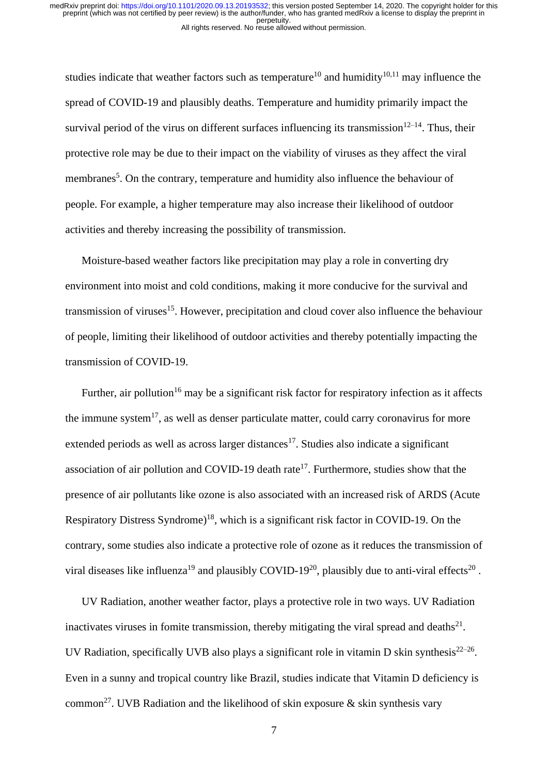studies indicate that weather factors such as temperature<sup>10</sup> and humidity<sup>10,11</sup> may influence the spread of COVID-19 and plausibly deaths. Temperature and humidity primarily impact the survival period of the virus on different surfaces influencing its transmission $12-14$ . Thus, their protective role may be due to their impact on the viability of viruses as they affect the viral membranes<sup>5</sup>. On the contrary, temperature and humidity also influence the behaviour of people. For example, a higher temperature may also increase their likelihood of outdoor activities and thereby increasing the possibility of transmission.

Moisture-based weather factors like precipitation may play a role in converting dry environment into moist and cold conditions, making it more conducive for the survival and transmission of viruses<sup>15</sup>. However, precipitation and cloud cover also influence the behaviour of people, limiting their likelihood of outdoor activities and thereby potentially impacting the transmission of COVID-19.

Further, air pollution<sup>16</sup> may be a significant risk factor for respiratory infection as it affects the immune system<sup>17</sup>, as well as denser particulate matter, could carry coronavirus for more extended periods as well as across larger distances<sup>17</sup>. Studies also indicate a significant association of air pollution and COVID-19 death rate<sup>17</sup>. Furthermore, studies show that the presence of air pollutants like ozone is also associated with an increased risk of ARDS (Acute Respiratory Distress Syndrome)<sup>18</sup>, which is a significant risk factor in COVID-19. On the contrary, some studies also indicate a protective role of ozone as it reduces the transmission of viral diseases like influenza<sup>19</sup> and plausibly COVID-19<sup>20</sup>, plausibly due to anti-viral effects<sup>20</sup>.

UV Radiation, another weather factor, plays a protective role in two ways. UV Radiation inactivates viruses in fomite transmission, thereby mitigating the viral spread and deaths $^{21}$ . UV Radiation, specifically UVB also plays a significant role in vitamin D skin synthesis $^{22-26}$ . Even in a sunny and tropical country like Brazil, studies indicate that Vitamin D deficiency is common<sup>27</sup>. UVB Radiation and the likelihood of skin exposure  $\&$  skin synthesis vary

7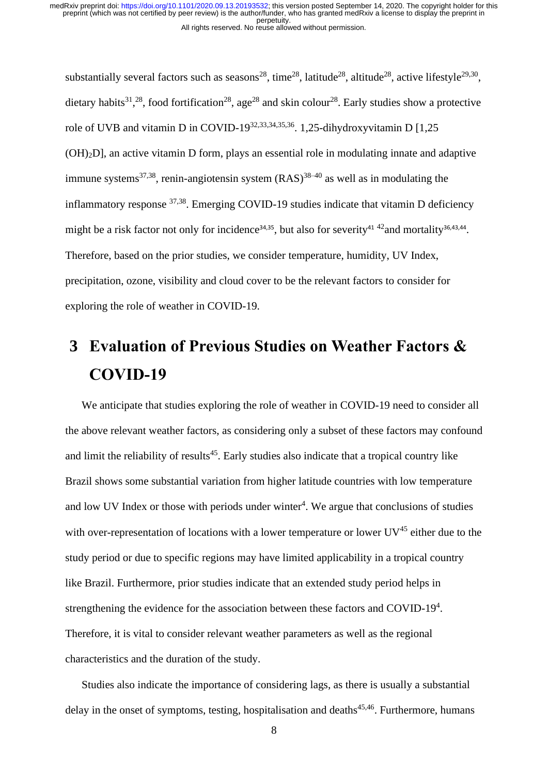substantially several factors such as seasons<sup>28</sup>, time<sup>28</sup>, latitude<sup>28</sup>, altitude<sup>28</sup>, active lifestyle<sup>29,30</sup>, dietary habits<sup>31</sup>,<sup>28</sup>, food fortification<sup>28</sup>, age<sup>28</sup> and skin colour<sup>28</sup>. Early studies show a protective role of UVB and vitamin D in COVID-19<sup>32,33,34,35,36</sup>. 1,25-dihydroxyvitamin D [1,25 (OH)2D], an active vitamin D form, plays an essential role in modulating innate and adaptive immune systems<sup>37,38</sup>, renin-angiotensin system  $(RAS)^{38-40}$  as well as in modulating the inflammatory response <sup>37,38</sup>. Emerging COVID-19 studies indicate that vitamin D deficiency might be a risk factor not only for incidence<sup>34,35</sup>, but also for severity<sup>41 42</sup> and mortality<sup>36,43,44</sup>. Therefore, based on the prior studies, we consider temperature, humidity, UV Index, precipitation, ozone, visibility and cloud cover to be the relevant factors to consider for exploring the role of weather in COVID-19.

# <span id="page-7-0"></span>**3 Evaluation of Previous Studies on Weather Factors & COVID-19**

We anticipate that studies exploring the role of weather in COVID-19 need to consider all the above relevant weather factors, as considering only a subset of these factors may confound and limit the reliability of results<sup>45</sup>. Early studies also indicate that a tropical country like Brazil shows some substantial variation from higher latitude countries with low temperature and low UV Index or those with periods under winter<sup>4</sup>. We argue that conclusions of studies with over-representation of locations with a lower temperature or lower  $UV^{45}$  either due to the study period or due to specific regions may have limited applicability in a tropical country like Brazil. Furthermore, prior studies indicate that an extended study period helps in strengthening the evidence for the association between these factors and COVID-19<sup>4</sup>. Therefore, it is vital to consider relevant weather parameters as well as the regional characteristics and the duration of the study.

Studies also indicate the importance of considering lags, as there is usually a substantial delay in the onset of symptoms, testing, hospitalisation and deaths $45,46$ . Furthermore, humans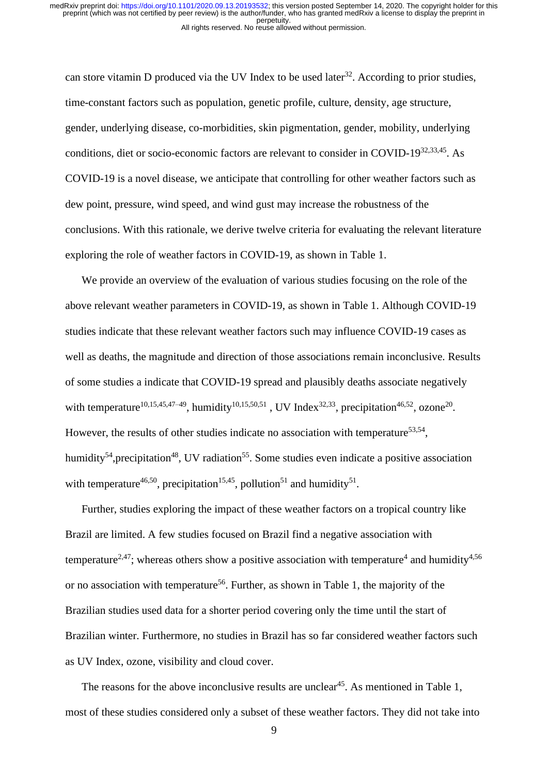can store vitamin D produced via the UV Index to be used later<sup>32</sup>. According to prior studies, time-constant factors such as population, genetic profile, culture, density, age structure, gender, underlying disease, co-morbidities, skin pigmentation, gender, mobility, underlying conditions, diet or socio-economic factors are relevant to consider in COVID-19<sup>32,33,45</sup>. As COVID-19 is a novel disease, we anticipate that controlling for other weather factors such as dew point, pressure, wind speed, and wind gust may increase the robustness of the conclusions. With this rationale, we derive twelve criteria for evaluating the relevant literature exploring the role of weather factors in COVID-19, as shown in Table 1.

We provide an overview of the evaluation of various studies focusing on the role of the above relevant weather parameters in COVID-19, as shown in Table 1. Although COVID-19 studies indicate that these relevant weather factors such may influence COVID-19 cases as well as deaths, the magnitude and direction of those associations remain inconclusive. Results of some studies a indicate that COVID-19 spread and plausibly deaths associate negatively with temperature<sup>10,15,45,47–49</sup>, humidity<sup>10,15,50,51</sup>, UV Index<sup>32,33</sup>, precipitation<sup>46,52</sup>, ozone<sup>20</sup>. However, the results of other studies indicate no association with temperature<sup>53,54</sup>, humidity<sup>54</sup>, precipitation<sup>48</sup>, UV radiation<sup>55</sup>. Some studies even indicate a positive association with temperature<sup>46,50</sup>, precipitation<sup>15,45</sup>, pollution<sup>51</sup> and humidity<sup>51</sup>.

Further, studies exploring the impact of these weather factors on a tropical country like Brazil are limited. A few studies focused on Brazil find a negative association with temperature<sup>2,47</sup>; whereas others show a positive association with temperature<sup>4</sup> and humidity<sup>4,56</sup> or no association with temperature<sup>56</sup>. Further, as shown in Table 1, the majority of the Brazilian studies used data for a shorter period covering only the time until the start of Brazilian winter. Furthermore, no studies in Brazil has so far considered weather factors such as UV Index, ozone, visibility and cloud cover.

The reasons for the above inconclusive results are unclear<sup>45</sup>. As mentioned in Table 1, most of these studies considered only a subset of these weather factors. They did not take into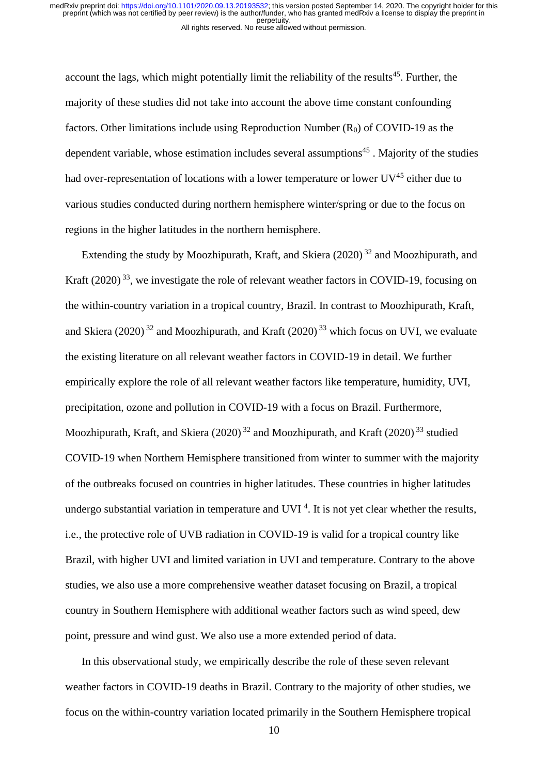account the lags, which might potentially limit the reliability of the results<sup>45</sup>. Further, the majority of these studies did not take into account the above time constant confounding factors. Other limitations include using Reproduction Number  $(R_0)$  of COVID-19 as the dependent variable, whose estimation includes several assumptions<sup>45</sup>. Majority of the studies had over-representation of locations with a lower temperature or lower  $UV^{45}$  either due to various studies conducted during northern hemisphere winter/spring or due to the focus on regions in the higher latitudes in the northern hemisphere.

Extending the study by Moozhipurath, Kraft, and Skiera  $(2020)^{32}$  and Moozhipurath, and Kraft  $(2020)^{33}$ , we investigate the role of relevant weather factors in COVID-19, focusing on the within-country variation in a tropical country, Brazil. In contrast to Moozhipurath, Kraft, and Skiera (2020)<sup>32</sup> and Moozhipurath, and Kraft (2020)<sup>33</sup> which focus on UVI, we evaluate the existing literature on all relevant weather factors in COVID-19 in detail. We further empirically explore the role of all relevant weather factors like temperature, humidity, UVI, precipitation, ozone and pollution in COVID-19 with a focus on Brazil. Furthermore, Moozhipurath, Kraft, and Skiera (2020)<sup>32</sup> and Moozhipurath, and Kraft (2020)<sup>33</sup> studied COVID-19 when Northern Hemisphere transitioned from winter to summer with the majority of the outbreaks focused on countries in higher latitudes. These countries in higher latitudes undergo substantial variation in temperature and UVI<sup>4</sup>. It is not yet clear whether the results, i.e., the protective role of UVB radiation in COVID-19 is valid for a tropical country like Brazil, with higher UVI and limited variation in UVI and temperature. Contrary to the above studies, we also use a more comprehensive weather dataset focusing on Brazil, a tropical country in Southern Hemisphere with additional weather factors such as wind speed, dew point, pressure and wind gust. We also use a more extended period of data.

In this observational study, we empirically describe the role of these seven relevant weather factors in COVID-19 deaths in Brazil. Contrary to the majority of other studies, we focus on the within-country variation located primarily in the Southern Hemisphere tropical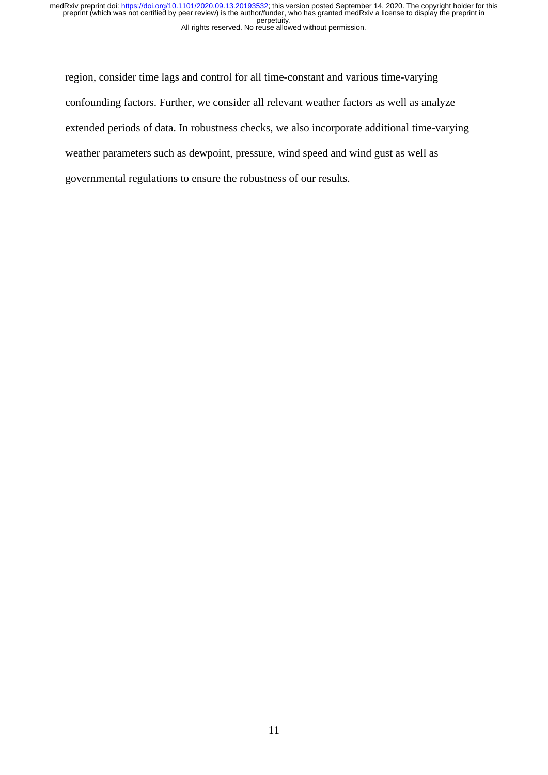region, consider time lags and control for all time-constant and various time-varying confounding factors. Further, we consider all relevant weather factors as well as analyze extended periods of data. In robustness checks, we also incorporate additional time-varying weather parameters such as dewpoint, pressure, wind speed and wind gust as well as governmental regulations to ensure the robustness of our results.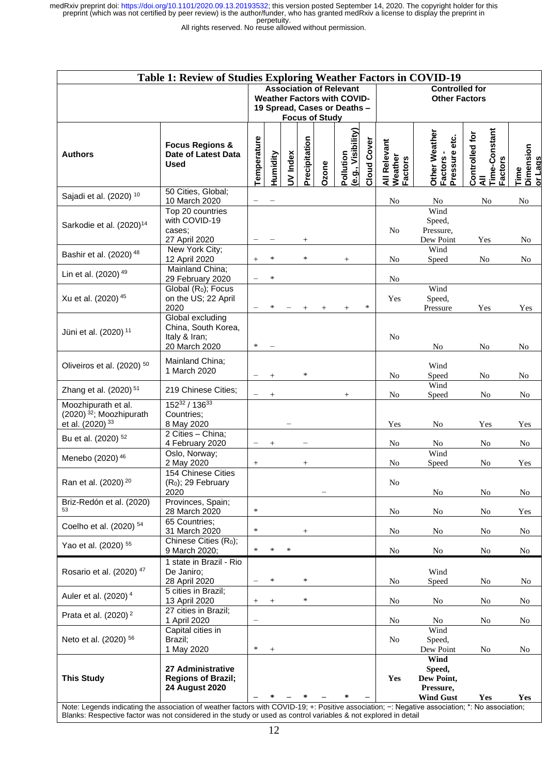All rights reserved. No reuse allowed without permission.

| Table 1: Review of Studies Exploring Weather Factors in COVID-19                                                                                                                                                                                                   |                                                                           |                          |                                                                                                                               |          |               |        |                                 |                    |                                               |                                                               |                                                   |                                     |
|--------------------------------------------------------------------------------------------------------------------------------------------------------------------------------------------------------------------------------------------------------------------|---------------------------------------------------------------------------|--------------------------|-------------------------------------------------------------------------------------------------------------------------------|----------|---------------|--------|---------------------------------|--------------------|-----------------------------------------------|---------------------------------------------------------------|---------------------------------------------------|-------------------------------------|
|                                                                                                                                                                                                                                                                    |                                                                           |                          | <b>Association of Relevant</b><br><b>Weather Factors with COVID-</b><br>19 Spread, Cases or Deaths -<br><b>Focus of Study</b> |          |               |        |                                 |                    | <b>Controlled for</b><br><b>Other Factors</b> |                                                               |                                                   |                                     |
| <b>Authors</b>                                                                                                                                                                                                                                                     | <b>Focus Regions &amp;</b><br>Date of Latest Data<br>Used                 | Temperature              | Humidity                                                                                                                      | UV Index | Precipitation | Ozone  | (e.g., Visibility)<br>Pollution | <b>Cloud Cover</b> | All Relevant<br>Weather<br><b>Factors</b>     | Other Weather<br>Pressure etc.<br><b>Factors</b>              | Controlled for<br>All<br>Time-Constant<br>Factors | Time<br>Dimension<br><u>or Lags</u> |
| Sajadi et al. (2020) 10                                                                                                                                                                                                                                            | 50 Cities, Global;<br>10 March 2020                                       |                          |                                                                                                                               |          |               |        |                                 |                    | No                                            | No                                                            | No                                                | No                                  |
| Sarkodie et al. (2020) <sup>14</sup>                                                                                                                                                                                                                               | Top 20 countries<br>with COVID-19<br>cases:<br>27 April 2020              |                          |                                                                                                                               |          | $\! +$        |        |                                 |                    | No                                            | Wind<br>Speed,<br>Pressure,<br>Dew Point                      | Yes                                               | No                                  |
| Bashir et al. (2020) <sup>48</sup>                                                                                                                                                                                                                                 | New York City;<br>12 April 2020                                           | $^{+}$                   | $\ast$                                                                                                                        |          | $\ast$        |        | $+$                             |                    | No                                            | Wind<br>Speed                                                 | No                                                | No                                  |
| Lin et al. (2020) <sup>49</sup>                                                                                                                                                                                                                                    | Mainland China;<br>29 February 2020                                       | $\overline{\phantom{0}}$ | $\ast$                                                                                                                        |          |               |        |                                 |                    | N <sub>o</sub>                                |                                                               |                                                   |                                     |
| Xu et al. (2020) 45                                                                                                                                                                                                                                                | Global (R <sub>0</sub> ); Focus<br>on the US; 22 April<br>2020            |                          |                                                                                                                               |          |               | $^{+}$ | $^{+}$                          | $\ast$             | Yes                                           | Wind<br>Speed,<br>Pressure                                    | Yes                                               | Yes                                 |
| Jüni et al. (2020) <sup>11</sup>                                                                                                                                                                                                                                   | Global excluding<br>China, South Korea,<br>Italy & Iran;<br>20 March 2020 | $\ast$                   |                                                                                                                               |          |               |        |                                 |                    | N <sub>o</sub>                                | No                                                            | No                                                | No                                  |
| Oliveiros et al. (2020) <sup>50</sup>                                                                                                                                                                                                                              | Mainland China;<br>1 March 2020                                           |                          |                                                                                                                               |          | $\ast$        |        |                                 |                    | No                                            | Wind<br>Speed                                                 | No                                                | No                                  |
| Zhang et al. (2020) <sup>51</sup>                                                                                                                                                                                                                                  | 219 Chinese Cities;                                                       | $\qquad \qquad -$        | $^{+}$                                                                                                                        |          |               |        | $^{+}$                          |                    | No                                            | Wind<br>Speed                                                 | N <sub>0</sub>                                    | No                                  |
| Moozhipurath et al.<br>$(2020)$ <sup>32</sup> ; Moozhipurath<br>et al. (2020) <sup>33</sup>                                                                                                                                                                        | 15232 / 13633<br>Countries;<br>8 May 2020                                 |                          |                                                                                                                               |          |               |        |                                 |                    | Yes                                           | No                                                            | Yes                                               | Yes                                 |
| Bu et al. (2020) <sup>52</sup>                                                                                                                                                                                                                                     | 2 Cities - China;<br>4 February 2020                                      |                          | $^{+}$                                                                                                                        |          |               |        |                                 |                    | No                                            | No                                                            | No                                                | No                                  |
| Menebo (2020) <sup>46</sup>                                                                                                                                                                                                                                        | Oslo, Norway;<br>2 May 2020                                               | $^{+}$                   |                                                                                                                               |          | $\! +$        |        |                                 |                    | No                                            | Wind<br>Speed                                                 | N <sub>0</sub>                                    | Yes                                 |
| Ran et al. (2020) <sup>20</sup>                                                                                                                                                                                                                                    | 154 Chinese Cities<br>(R <sub>0</sub> ); 29 February<br>2020              |                          |                                                                                                                               |          |               |        |                                 |                    | $\rm No$                                      | No                                                            | No                                                | No                                  |
| Briz-Redón et al. (2020)<br>53                                                                                                                                                                                                                                     | Provinces, Spain;<br>28 March 2020                                        | $\ast$                   |                                                                                                                               |          |               |        |                                 |                    | No                                            | No                                                            | No                                                | Yes                                 |
| Coelho et al. (2020) 54                                                                                                                                                                                                                                            | 65 Countries;<br>31 March 2020                                            | $\ast$                   |                                                                                                                               |          | $^{+}$        |        |                                 |                    | No                                            | No                                                            | No                                                | No                                  |
| Yao et al. (2020) 55                                                                                                                                                                                                                                               | Chinese Cities (R <sub>0</sub> );<br>9 March 2020;                        | $\ast$                   |                                                                                                                               | ∗        |               |        |                                 |                    | No                                            | No                                                            | No                                                | No                                  |
| Rosario et al. (2020) <sup>47</sup>                                                                                                                                                                                                                                | 1 state in Brazil - Rio<br>De Janiro;<br>28 April 2020                    |                          | $\ast$                                                                                                                        |          | $\ast$        |        |                                 |                    | No                                            | Wind<br>Speed                                                 | No                                                | No                                  |
| Auler et al. (2020) <sup>4</sup>                                                                                                                                                                                                                                   | 5 cities in Brazil;<br>13 April 2020                                      | $^+$                     | $^{+}$                                                                                                                        |          | $\ast$        |        |                                 |                    | No                                            | No                                                            | No                                                | No                                  |
| Prata et al. $(2020)^2$                                                                                                                                                                                                                                            | 27 cities in Brazil;<br>1 April 2020                                      | $\qquad \qquad -$        |                                                                                                                               |          |               |        |                                 |                    | No                                            | No                                                            | No                                                | No                                  |
| Neto et al. (2020) 56                                                                                                                                                                                                                                              | Capital cities in<br>Brazil;<br>1 May 2020                                | $\ast$                   | $^{+}$                                                                                                                        |          |               |        |                                 |                    | No                                            | Wind<br>Speed,<br>Dew Point                                   | No                                                | No                                  |
| <b>This Study</b>                                                                                                                                                                                                                                                  | 27 Administrative<br><b>Regions of Brazil;</b><br><b>24 August 2020</b>   |                          |                                                                                                                               |          |               |        | ∗                               |                    | Yes                                           | Wind<br>Speed,<br>Dew Point,<br>Pressure,<br><b>Wind Gust</b> | Yes                                               | Yes                                 |
| Note: Legends indicating the association of weather factors with COVID-19; +: Positive association; -: Negative association; *: No association;<br>Blanks: Respective factor was not considered in the study or used as control variables & not explored in detail |                                                                           |                          |                                                                                                                               |          |               |        |                                 |                    |                                               |                                                               |                                                   |                                     |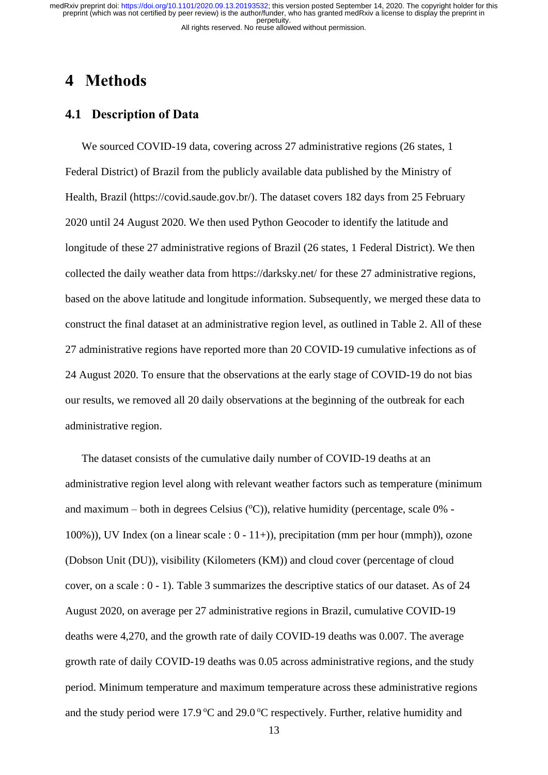### <span id="page-12-0"></span>**4 Methods**

#### <span id="page-12-1"></span>**4.1 Description of Data**

We sourced COVID-19 data, covering across 27 administrative regions (26 states, 1) Federal District) of Brazil from the publicly available data published by the Ministry of Health, Brazil (https://covid.saude.gov.br/). The dataset covers 182 days from 25 February 2020 until 24 August 2020. We then used Python Geocoder to identify the latitude and longitude of these 27 administrative regions of Brazil (26 states, 1 Federal District). We then collected the daily weather data from<https://darksky.net/> for these 27 administrative regions, based on the above latitude and longitude information. Subsequently, we merged these data to construct the final dataset at an administrative region level, as outlined in Table 2. All of these 27 administrative regions have reported more than 20 COVID-19 cumulative infections as of 24 August 2020. To ensure that the observations at the early stage of COVID-19 do not bias our results, we removed all 20 daily observations at the beginning of the outbreak for each administrative region.

The dataset consists of the cumulative daily number of COVID-19 deaths at an administrative region level along with relevant weather factors such as temperature (minimum and maximum – both in degrees Celsius  $(^{\circ}C)$ ), relative humidity (percentage, scale 0% -100%)), UV Index (on a linear scale : 0 - 11+)), precipitation (mm per hour (mmph)), ozone (Dobson Unit (DU)), visibility (Kilometers (KM)) and cloud cover (percentage of cloud cover, on a scale :  $0 - 1$ ). Table 3 summarizes the descriptive statics of our dataset. As of 24 August 2020, on average per 27 administrative regions in Brazil, cumulative COVID-19 deaths were 4,270, and the growth rate of daily COVID-19 deaths was 0.007. The average growth rate of daily COVID-19 deaths was 0.05 across administrative regions, and the study period. Minimum temperature and maximum temperature across these administrative regions and the study period were 17.9  $\degree$ C and 29.0  $\degree$ C respectively. Further, relative humidity and

13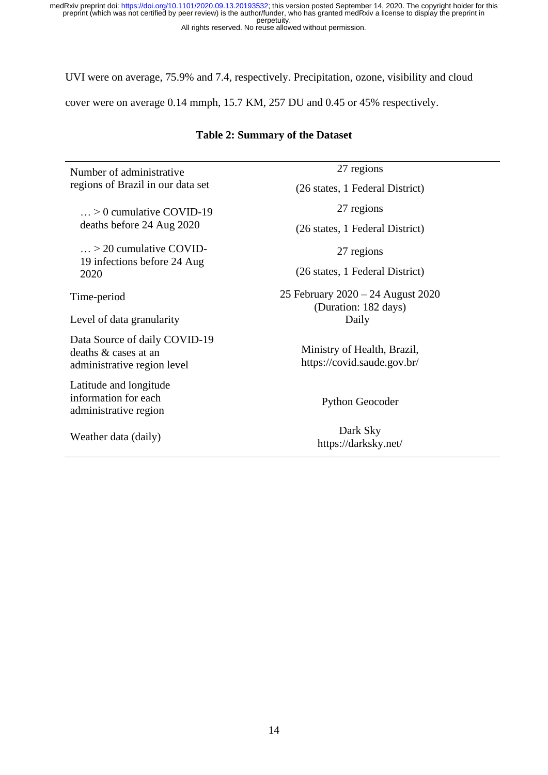UVI were on average, 75.9% and 7.4, respectively. Precipitation, ozone, visibility and cloud

cover were on average 0.14 mmph, 15.7 KM, 257 DU and 0.45 or 45% respectively.

#### **Table 2: Summary of the Dataset**

Number of administrative regions of Brazil in our data set

… > 0 cumulative COVID-19 deaths before 24 Aug 2020

… > 20 cumulative COVID-19 infections before 24 Aug 2020

Level of data granularity Daily

Data Source of daily COVID-19 deaths & cases at an administrative region level

Latitude and longitude information for each administrative region

27 regions

(26 states, 1 Federal District)

27 regions

(26 states, 1 Federal District)

27 regions

(26 states, 1 Federal District)

Time-period 25 February 2020 – 24 August 2020 (Duration: 182 days)

> Ministry of Health, Brazil, https://covid.saude.gov.br/

> > Python Geocoder

Weather data (daily) Dark Sky <https://darksky.net/>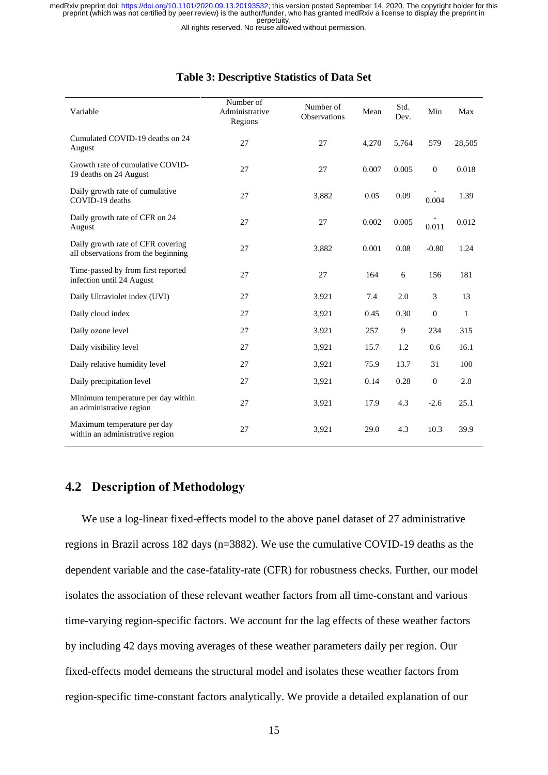All rights reserved. No reuse allowed without permission.

| Variable                                                                 | Number of<br>Administrative<br>Regions | Number of<br><b>Observations</b> | Mean  | Std.<br>Dev. | Min              | Max    |
|--------------------------------------------------------------------------|----------------------------------------|----------------------------------|-------|--------------|------------------|--------|
| Cumulated COVID-19 deaths on 24<br>August                                | 27                                     | 27                               | 4,270 | 5,764        | 579              | 28,505 |
| Growth rate of cumulative COVID-<br>19 deaths on 24 August               | 27                                     | 27                               | 0.007 | 0.005        | $\boldsymbol{0}$ | 0.018  |
| Daily growth rate of cumulative<br>COVID-19 deaths                       | 27                                     | 3,882                            | 0.05  | 0.09         | 0.004            | 1.39   |
| Daily growth rate of CFR on 24<br>August                                 | 27                                     | 27                               | 0.002 | 0.005        | 0.011            | 0.012  |
| Daily growth rate of CFR covering<br>all observations from the beginning | 27                                     | 3,882                            | 0.001 | 0.08         | $-0.80$          | 1.24   |
| Time-passed by from first reported<br>infection until 24 August          | 27                                     | 27                               | 164   | 6            | 156              | 181    |
| Daily Ultraviolet index (UVI)                                            | 27                                     | 3,921                            | 7.4   | 2.0          | 3                | 13     |
| Daily cloud index                                                        | 27                                     | 3,921                            | 0.45  | 0.30         | $\mathbf{0}$     | 1      |
| Daily ozone level                                                        | 27                                     | 3,921                            | 257   | 9            | 234              | 315    |
| Daily visibility level                                                   | 27                                     | 3,921                            | 15.7  | 1.2          | 0.6              | 16.1   |
| Daily relative humidity level                                            | 27                                     | 3,921                            | 75.9  | 13.7         | 31               | 100    |
| Daily precipitation level                                                | 27                                     | 3,921                            | 0.14  | 0.28         | $\boldsymbol{0}$ | 2.8    |
| Minimum temperature per day within<br>an administrative region           | 27                                     | 3,921                            | 17.9  | 4.3          | $-2.6$           | 25.1   |
| Maximum temperature per day<br>within an administrative region           | 27                                     | 3,921                            | 29.0  | 4.3          | 10.3             | 39.9   |

#### **Table 3: Descriptive Statistics of Data Set**

### <span id="page-14-0"></span>**4.2 Description of Methodology**

We use a log-linear fixed-effects model to the above panel dataset of 27 administrative regions in Brazil across 182 days (n=3882). We use the cumulative COVID-19 deaths as the dependent variable and the case-fatality-rate (CFR) for robustness checks. Further, our model isolates the association of these relevant weather factors from all time-constant and various time-varying region-specific factors. We account for the lag effects of these weather factors by including 42 days moving averages of these weather parameters daily per region. Our fixed-effects model demeans the structural model and isolates these weather factors from region-specific time-constant factors analytically. We provide a detailed explanation of our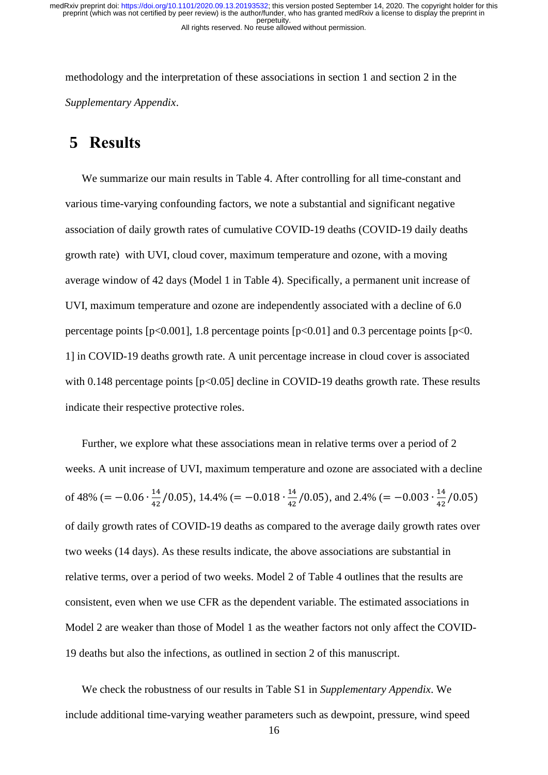methodology and the interpretation of these associations in section 1 and section 2 in the *Supplementary Appendix*.

### <span id="page-15-0"></span>**5 Results**

We summarize our main results in Table 4. After controlling for all time-constant and various time-varying confounding factors, we note a substantial and significant negative association of daily growth rates of cumulative COVID-19 deaths (COVID-19 daily deaths growth rate) with UVI, cloud cover, maximum temperature and ozone, with a moving average window of 42 days (Model 1 in Table 4). Specifically, a permanent unit increase of UVI, maximum temperature and ozone are independently associated with a decline of 6.0 percentage points [ $p<0.001$ ], 1.8 percentage points [ $p<0.01$ ] and 0.3 percentage points [ $p<0$ . 1] in COVID-19 deaths growth rate. A unit percentage increase in cloud cover is associated with 0.148 percentage points [p<0.05] decline in COVID-19 deaths growth rate. These results indicate their respective protective roles.

Further, we explore what these associations mean in relative terms over a period of 2 weeks. A unit increase of UVI, maximum temperature and ozone are associated with a decline of 48% (=  $-0.06 \cdot \frac{14}{43}$  $\frac{14}{42}/0.05$ , 14.4% (= -0.018  $\cdot \frac{14}{42}$  $\frac{14}{42}$ /0.05), and 2.4% (= -0.003  $\cdot \frac{14}{42}$  $\frac{14}{42}/0.05$ of daily growth rates of COVID-19 deaths as compared to the average daily growth rates over two weeks (14 days). As these results indicate, the above associations are substantial in relative terms, over a period of two weeks. Model 2 of Table 4 outlines that the results are consistent, even when we use CFR as the dependent variable. The estimated associations in Model 2 are weaker than those of Model 1 as the weather factors not only affect the COVID-19 deaths but also the infections, as outlined in section 2 of this manuscript.

We check the robustness of our results in Table S1 in *Supplementary Appendix*. We include additional time-varying weather parameters such as dewpoint, pressure, wind speed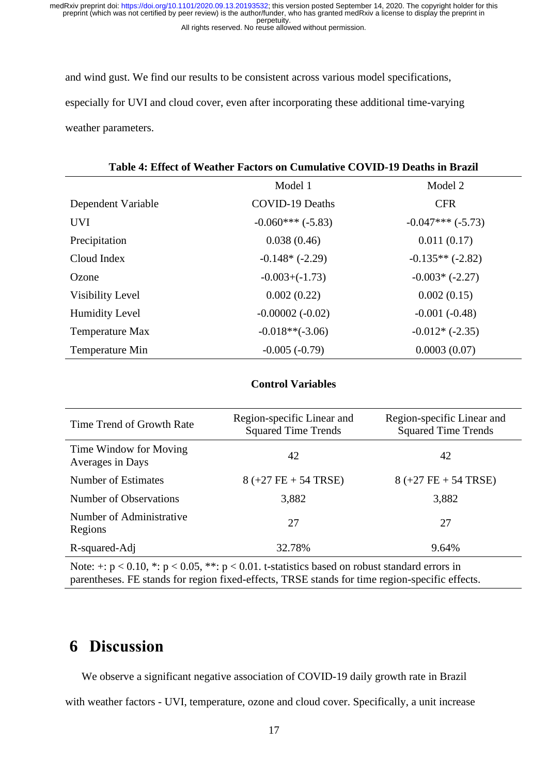and wind gust. We find our results to be consistent across various model specifications, especially for UVI and cloud cover, even after incorporating these additional time-varying weather parameters.

#### **Table 4: Effect of Weather Factors on Cumulative COVID-19 Deaths in Brazil**

|                         | Model 1                | Model 2            |
|-------------------------|------------------------|--------------------|
| Dependent Variable      | <b>COVID-19 Deaths</b> | <b>CFR</b>         |
| <b>UVI</b>              | $-0.060***(-5.83)$     | $-0.047***(-5.73)$ |
| Precipitation           | 0.038(0.46)            | 0.011(0.17)        |
| Cloud Index             | $-0.148*(-2.29)$       | $-0.135**(-2.82)$  |
| Ozone                   | $-0.003 + (-1.73)$     | $-0.003*(-2.27)$   |
| <b>Visibility Level</b> | 0.002(0.22)            | 0.002(0.15)        |
| <b>Humidity Level</b>   | $-0.00002(-0.02)$      | $-0.001(-0.48)$    |
| Temperature Max         | $-0.018**(-3.06)$      | $-0.012*(-2.35)$   |
| Temperature Min         | $-0.005(-0.79)$        | 0.0003(0.07)       |

#### **Control Variables**

| Time Trend of Growth Rate                  | Region-specific Linear and<br><b>Squared Time Trends</b> | Region-specific Linear and<br><b>Squared Time Trends</b> |  |  |
|--------------------------------------------|----------------------------------------------------------|----------------------------------------------------------|--|--|
| Time Window for Moving<br>Averages in Days | 42                                                       | 42                                                       |  |  |
| Number of Estimates                        | $8 (+27 FE + 54 TRSE)$                                   | $8 (+27 FE + 54 TRSE)$                                   |  |  |
| Number of Observations                     | 3,882                                                    | 3,882                                                    |  |  |
| Number of Administrative<br>Regions        | 27                                                       | 27                                                       |  |  |
| R-squared-Adj                              | 32.78%                                                   | 9.64%                                                    |  |  |

Note:  $\div$ :  $p < 0.10$ ,  $\div$ :  $p < 0.05$ ,  $\div$ :  $p < 0.01$ . t-statistics based on robust standard errors in parentheses. FE stands for region fixed-effects, TRSE stands for time region-specific effects.

### <span id="page-16-0"></span>**6 Discussion**

We observe a significant negative association of COVID-19 daily growth rate in Brazil

with weather factors - UVI, temperature, ozone and cloud cover. Specifically, a unit increase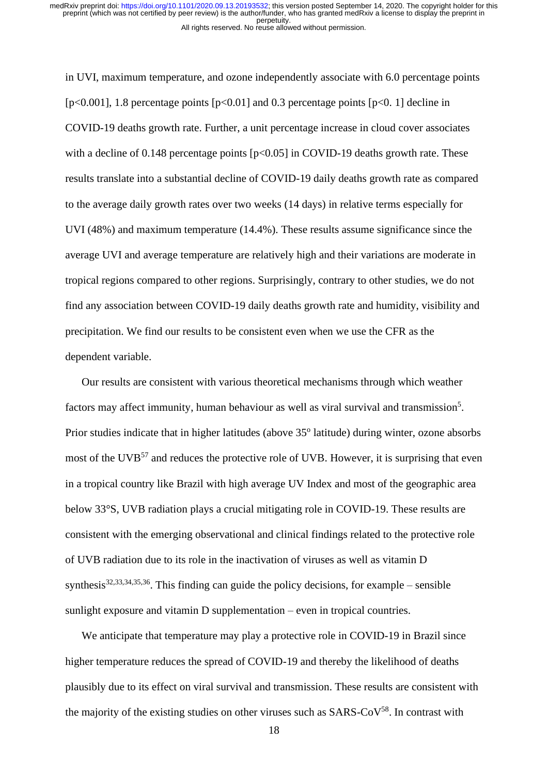in UVI, maximum temperature, and ozone independently associate with 6.0 percentage points  $[p<0.001]$ , 1.8 percentage points  $[p<0.01]$  and 0.3 percentage points  $[p<0.1]$  decline in COVID-19 deaths growth rate. Further, a unit percentage increase in cloud cover associates with a decline of 0.148 percentage points  $[p<0.05]$  in COVID-19 deaths growth rate. These results translate into a substantial decline of COVID-19 daily deaths growth rate as compared to the average daily growth rates over two weeks (14 days) in relative terms especially for UVI (48%) and maximum temperature (14.4%). These results assume significance since the average UVI and average temperature are relatively high and their variations are moderate in tropical regions compared to other regions. Surprisingly, contrary to other studies, we do not find any association between COVID-19 daily deaths growth rate and humidity, visibility and precipitation. We find our results to be consistent even when we use the CFR as the dependent variable.

Our results are consistent with various theoretical mechanisms through which weather factors may affect immunity, human behaviour as well as viral survival and transmission<sup>5</sup>. Prior studies indicate that in higher latitudes (above 35° latitude) during winter, ozone absorbs most of the UVB<sup>57</sup> and reduces the protective role of UVB. However, it is surprising that even in a tropical country like Brazil with high average UV Index and most of the geographic area below 33°S, UVB radiation plays a crucial mitigating role in COVID-19. These results are consistent with the emerging observational and clinical findings related to the protective role of UVB radiation due to its role in the inactivation of viruses as well as vitamin D synthesis<sup>32,33,34,35,36</sup>. This finding can guide the policy decisions, for example – sensible sunlight exposure and vitamin D supplementation – even in tropical countries.

We anticipate that temperature may play a protective role in COVID-19 in Brazil since higher temperature reduces the spread of COVID-19 and thereby the likelihood of deaths plausibly due to its effect on viral survival and transmission. These results are consistent with the majority of the existing studies on other viruses such as  $SARS-CoV<sup>58</sup>$ . In contrast with

18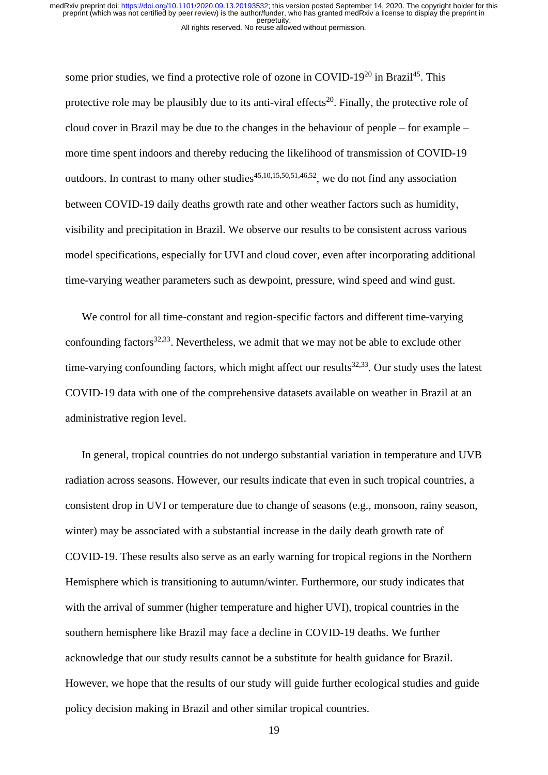some prior studies, we find a protective role of ozone in COVID-19<sup>20</sup> in Brazil<sup>45</sup>. This protective role may be plausibly due to its anti-viral effects<sup>20</sup>. Finally, the protective role of cloud cover in Brazil may be due to the changes in the behaviour of people – for example – more time spent indoors and thereby reducing the likelihood of transmission of COVID-19 outdoors. In contrast to many other studies<sup>45,10,15,50,51,46,52</sup>, we do not find any association between COVID-19 daily deaths growth rate and other weather factors such as humidity, visibility and precipitation in Brazil. We observe our results to be consistent across various model specifications, especially for UVI and cloud cover, even after incorporating additional time-varying weather parameters such as dewpoint, pressure, wind speed and wind gust.

We control for all time-constant and region-specific factors and different time-varying confounding factors $32,33$ . Nevertheless, we admit that we may not be able to exclude other time-varying confounding factors, which might affect our results $32,33$ . Our study uses the latest COVID-19 data with one of the comprehensive datasets available on weather in Brazil at an administrative region level.

In general, tropical countries do not undergo substantial variation in temperature and UVB radiation across seasons. However, our results indicate that even in such tropical countries, a consistent drop in UVI or temperature due to change of seasons (e.g., monsoon, rainy season, winter) may be associated with a substantial increase in the daily death growth rate of COVID-19. These results also serve as an early warning for tropical regions in the Northern Hemisphere which is transitioning to autumn/winter. Furthermore, our study indicates that with the arrival of summer (higher temperature and higher UVI), tropical countries in the southern hemisphere like Brazil may face a decline in COVID-19 deaths. We further acknowledge that our study results cannot be a substitute for health guidance for Brazil. However, we hope that the results of our study will guide further ecological studies and guide policy decision making in Brazil and other similar tropical countries.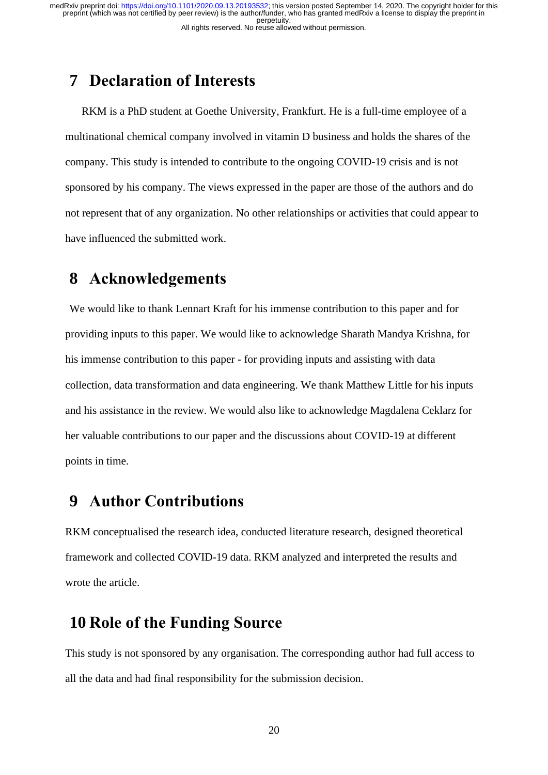### <span id="page-19-0"></span>**7 Declaration of Interests**

RKM is a PhD student at Goethe University, Frankfurt. He is a full-time employee of a multinational chemical company involved in vitamin D business and holds the shares of the company. This study is intended to contribute to the ongoing COVID-19 crisis and is not sponsored by his company. The views expressed in the paper are those of the authors and do not represent that of any organization. No other relationships or activities that could appear to have influenced the submitted work.

### <span id="page-19-1"></span>**8 Acknowledgements**

We would like to thank Lennart Kraft for his immense contribution to this paper and for providing inputs to this paper. We would like to acknowledge Sharath Mandya Krishna, for his immense contribution to this paper - for providing inputs and assisting with data collection, data transformation and data engineering. We thank Matthew Little for his inputs and his assistance in the review. We would also like to acknowledge Magdalena Ceklarz for her valuable contributions to our paper and the discussions about COVID-19 at different points in time.

### <span id="page-19-2"></span>**9 Author Contributions**

RKM conceptualised the research idea, conducted literature research, designed theoretical framework and collected COVID-19 data. RKM analyzed and interpreted the results and wrote the article.

### <span id="page-19-3"></span>**10 Role of the Funding Source**

This study is not sponsored by any organisation. The corresponding author had full access to all the data and had final responsibility for the submission decision.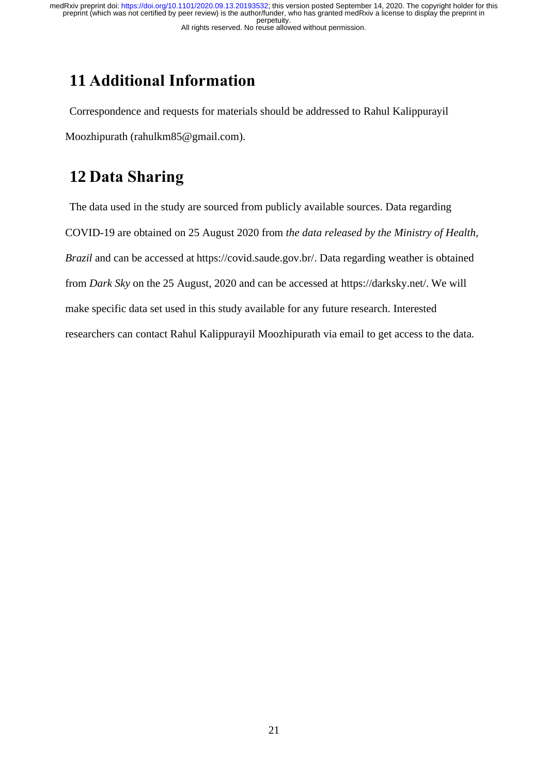# <span id="page-20-0"></span>**11 Additional Information**

Correspondence and requests for materials should be addressed to Rahul Kalippurayil Moozhipurath (rahulkm85@gmail.com).

# <span id="page-20-1"></span>**12 Data Sharing**

The data used in the study are sourced from publicly available sources. Data regarding COVID-19 are obtained on 25 August 2020 from *the data released by the Ministry of Health, Brazil* and can be accessed at https://covid.saude.gov.br/. Data regarding weather is obtained from *Dark Sky* on the 25 August, 2020 and can be accessed at https://darksky.net/. We will make specific data set used in this study available for any future research. Interested researchers can contact Rahul Kalippurayil Moozhipurath via email to get access to the data.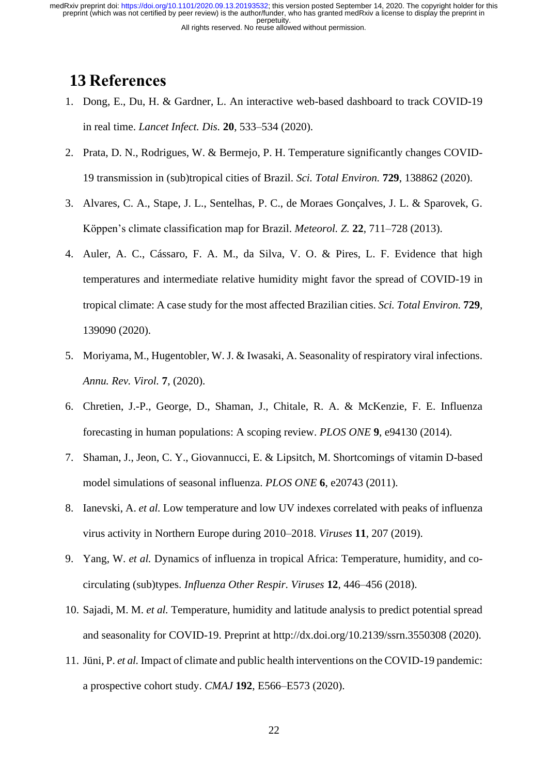## <span id="page-21-0"></span>**13 References**

- 1. Dong, E., Du, H. & Gardner, L. An interactive web-based dashboard to track COVID-19 in real time. *Lancet Infect. Dis.* **20**, 533–534 (2020).
- 2. Prata, D. N., Rodrigues, W. & Bermejo, P. H. Temperature significantly changes COVID-19 transmission in (sub)tropical cities of Brazil. *Sci. Total Environ.* **729**, 138862 (2020).
- 3. Alvares, C. A., Stape, J. L., Sentelhas, P. C., de Moraes Gonçalves, J. L. & Sparovek, G. Köppen's climate classification map for Brazil. *Meteorol. Z.* **22**, 711–728 (2013).
- 4. Auler, A. C., Cássaro, F. A. M., da Silva, V. O. & Pires, L. F. Evidence that high temperatures and intermediate relative humidity might favor the spread of COVID-19 in tropical climate: A case study for the most affected Brazilian cities. *Sci. Total Environ.* **729**, 139090 (2020).
- 5. Moriyama, M., Hugentobler, W. J. & Iwasaki, A. Seasonality of respiratory viral infections. *Annu. Rev. Virol.* **7**, (2020).
- 6. Chretien, J.-P., George, D., Shaman, J., Chitale, R. A. & McKenzie, F. E. Influenza forecasting in human populations: A scoping review. *PLOS ONE* **9**, e94130 (2014).
- 7. Shaman, J., Jeon, C. Y., Giovannucci, E. & Lipsitch, M. Shortcomings of vitamin D-based model simulations of seasonal influenza. *PLOS ONE* **6**, e20743 (2011).
- 8. Ianevski, A. *et al.* Low temperature and low UV indexes correlated with peaks of influenza virus activity in Northern Europe during 2010–2018. *Viruses* **11**, 207 (2019).
- 9. Yang, W. *et al.* Dynamics of influenza in tropical Africa: Temperature, humidity, and cocirculating (sub)types. *Influenza Other Respir. Viruses* **12**, 446–456 (2018).
- 10. Sajadi, M. M. *et al.* Temperature, humidity and latitude analysis to predict potential spread and seasonality for COVID-19. Preprint at http://dx.doi.org/10.2139/ssrn.3550308 (2020).
- 11. Jüni, P. *et al.* Impact of climate and public health interventions on the COVID-19 pandemic: a prospective cohort study. *CMAJ* **192**, E566–E573 (2020).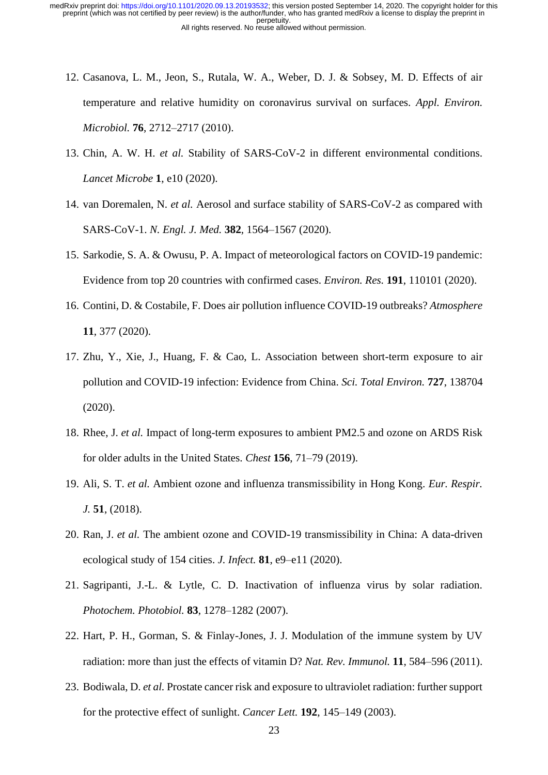- 12. Casanova, L. M., Jeon, S., Rutala, W. A., Weber, D. J. & Sobsey, M. D. Effects of air temperature and relative humidity on coronavirus survival on surfaces. *Appl. Environ. Microbiol.* **76**, 2712–2717 (2010).
- 13. Chin, A. W. H. *et al.* Stability of SARS-CoV-2 in different environmental conditions. *Lancet Microbe* **1**, e10 (2020).
- 14. van Doremalen, N. *et al.* Aerosol and surface stability of SARS-CoV-2 as compared with SARS-CoV-1. *N. Engl. J. Med.* **382**, 1564–1567 (2020).
- 15. Sarkodie, S. A. & Owusu, P. A. Impact of meteorological factors on COVID-19 pandemic: Evidence from top 20 countries with confirmed cases. *Environ. Res.* **191**, 110101 (2020).
- 16. Contini, D. & Costabile, F. Does air pollution influence COVID-19 outbreaks? *Atmosphere* **11**, 377 (2020).
- 17. Zhu, Y., Xie, J., Huang, F. & Cao, L. Association between short-term exposure to air pollution and COVID-19 infection: Evidence from China. *Sci. Total Environ.* **727**, 138704 (2020).
- 18. Rhee, J. *et al.* Impact of long-term exposures to ambient PM2.5 and ozone on ARDS Risk for older adults in the United States. *Chest* **156**, 71–79 (2019).
- 19. Ali, S. T. *et al.* Ambient ozone and influenza transmissibility in Hong Kong. *Eur. Respir. J.* **51**, (2018).
- 20. Ran, J. *et al.* The ambient ozone and COVID-19 transmissibility in China: A data-driven ecological study of 154 cities. *J. Infect.* **81**, e9–e11 (2020).
- 21. Sagripanti, J.-L. & Lytle, C. D. Inactivation of influenza virus by solar radiation. *Photochem. Photobiol.* **83**, 1278–1282 (2007).
- 22. Hart, P. H., Gorman, S. & Finlay-Jones, J. J. Modulation of the immune system by UV radiation: more than just the effects of vitamin D? *Nat. Rev. Immunol.* **11**, 584–596 (2011).
- 23. Bodiwala, D. *et al.* Prostate cancer risk and exposure to ultraviolet radiation: further support for the protective effect of sunlight. *Cancer Lett.* **192**, 145–149 (2003).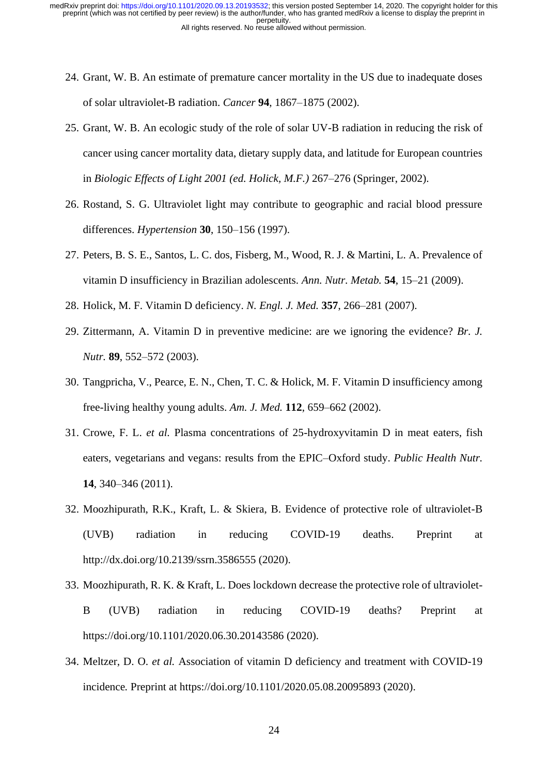- 24. Grant, W. B. An estimate of premature cancer mortality in the US due to inadequate doses of solar ultraviolet-B radiation. *Cancer* **94**, 1867–1875 (2002).
- 25. Grant, W. B. An ecologic study of the role of solar UV-B radiation in reducing the risk of cancer using cancer mortality data, dietary supply data, and latitude for European countries in *Biologic Effects of Light 2001 (ed. Holick, M.F.)* 267–276 (Springer, 2002).
- 26. Rostand, S. G. Ultraviolet light may contribute to geographic and racial blood pressure differences. *Hypertension* **30**, 150–156 (1997).
- 27. Peters, B. S. E., Santos, L. C. dos, Fisberg, M., Wood, R. J. & Martini, L. A. Prevalence of vitamin D insufficiency in Brazilian adolescents. *Ann. Nutr. Metab.* **54**, 15–21 (2009).
- 28. Holick, M. F. Vitamin D deficiency. *N. Engl. J. Med.* **357**, 266–281 (2007).
- 29. Zittermann, A. Vitamin D in preventive medicine: are we ignoring the evidence? *Br. J. Nutr.* **89**, 552–572 (2003).
- 30. Tangpricha, V., Pearce, E. N., Chen, T. C. & Holick, M. F. Vitamin D insufficiency among free-living healthy young adults. *Am. J. Med.* **112**, 659–662 (2002).
- 31. Crowe, F. L. *et al.* Plasma concentrations of 25-hydroxyvitamin D in meat eaters, fish eaters, vegetarians and vegans: results from the EPIC–Oxford study. *Public Health Nutr.* **14**, 340–346 (2011).
- 32. Moozhipurath, R.K., Kraft, L. & Skiera, B. Evidence of protective role of ultraviolet-B (UVB) radiation in reducing COVID-19 deaths. Preprint at http://dx.doi.org/10.2139/ssrn.3586555 (2020).
- 33. Moozhipurath, R. K. & Kraft, L. Does lockdown decrease the protective role of ultraviolet-B (UVB) radiation in reducing COVID-19 deaths? Preprint at https://doi.org/10.1101/2020.06.30.20143586 (2020).
- 34. Meltzer, D. O. *et al.* Association of vitamin D deficiency and treatment with COVID-19 incidence*.* Preprint at https://doi.org/10.1101/2020.05.08.20095893 (2020).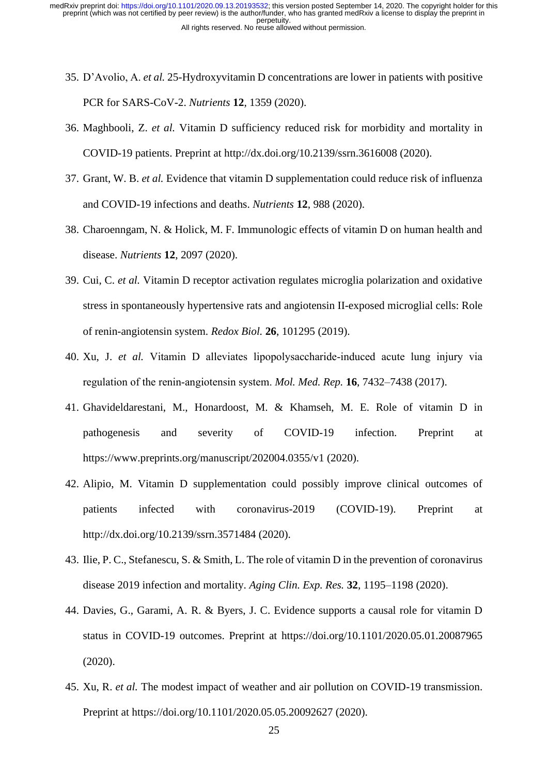- 35. D'Avolio, A. *et al.* 25-Hydroxyvitamin D concentrations are lower in patients with positive PCR for SARS-CoV-2. *Nutrients* **12**, 1359 (2020).
- 36. Maghbooli, Z. *et al.* Vitamin D sufficiency reduced risk for morbidity and mortality in COVID-19 patients. Preprint at http://dx.doi.org/10.2139/ssrn.3616008 (2020).
- 37. Grant, W. B. *et al.* Evidence that vitamin D supplementation could reduce risk of influenza and COVID-19 infections and deaths. *Nutrients* **12**, 988 (2020).
- 38. Charoenngam, N. & Holick, M. F. Immunologic effects of vitamin D on human health and disease. *Nutrients* **12**, 2097 (2020).
- 39. Cui, C. *et al.* Vitamin D receptor activation regulates microglia polarization and oxidative stress in spontaneously hypertensive rats and angiotensin II-exposed microglial cells: Role of renin-angiotensin system. *Redox Biol.* **26**, 101295 (2019).
- 40. Xu, J. *et al.* Vitamin D alleviates lipopolysaccharide-induced acute lung injury via regulation of the renin‑angiotensin system. *Mol. Med. Rep.* **16**, 7432–7438 (2017).
- 41. Ghavideldarestani, M., Honardoost, M. & Khamseh, M. E. Role of vitamin D in pathogenesis and severity of COVID-19 infection. Preprint at https://www.preprints.org/manuscript/202004.0355/v1 (2020).
- 42. Alipio, M. Vitamin D supplementation could possibly improve clinical outcomes of patients infected with coronavirus-2019 (COVID-19). Preprint at http://dx.doi.org/10.2139/ssrn.3571484 (2020).
- 43. Ilie, P. C., Stefanescu, S. & Smith, L. The role of vitamin D in the prevention of coronavirus disease 2019 infection and mortality. *Aging Clin. Exp. Res.* **32**, 1195–1198 (2020).
- 44. Davies, G., Garami, A. R. & Byers, J. C. Evidence supports a causal role for vitamin D status in COVID-19 outcomes. Preprint at https://doi.org/10.1101/2020.05.01.20087965 (2020).
- 45. Xu, R. *et al.* The modest impact of weather and air pollution on COVID-19 transmission. Preprint at https://doi.org/10.1101/2020.05.05.20092627 (2020).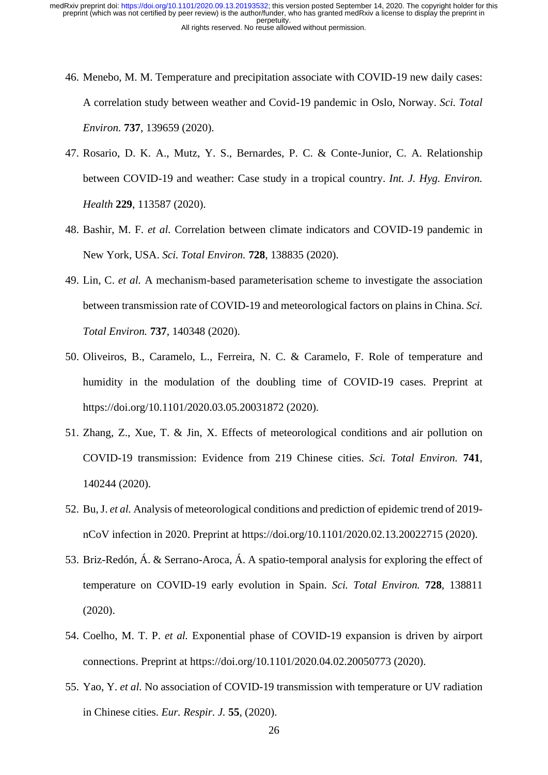- 46. Menebo, M. M. Temperature and precipitation associate with COVID-19 new daily cases: A correlation study between weather and Covid-19 pandemic in Oslo, Norway. *Sci. Total Environ.* **737**, 139659 (2020).
- 47. Rosario, D. K. A., Mutz, Y. S., Bernardes, P. C. & Conte-Junior, C. A. Relationship between COVID-19 and weather: Case study in a tropical country. *Int. J. Hyg. Environ. Health* **229**, 113587 (2020).
- 48. Bashir, M. F. *et al.* Correlation between climate indicators and COVID-19 pandemic in New York, USA. *Sci. Total Environ.* **728**, 138835 (2020).
- 49. Lin, C. *et al.* A mechanism-based parameterisation scheme to investigate the association between transmission rate of COVID-19 and meteorological factors on plains in China. *Sci. Total Environ.* **737**, 140348 (2020).
- 50. Oliveiros, B., Caramelo, L., Ferreira, N. C. & Caramelo, F. Role of temperature and humidity in the modulation of the doubling time of COVID-19 cases. Preprint at https://doi.org/10.1101/2020.03.05.20031872 (2020).
- 51. Zhang, Z., Xue, T. & Jin, X. Effects of meteorological conditions and air pollution on COVID-19 transmission: Evidence from 219 Chinese cities. *Sci. Total Environ.* **741**, 140244 (2020).
- 52. Bu, J. *et al.* Analysis of meteorological conditions and prediction of epidemic trend of 2019 nCoV infection in 2020. Preprint at https://doi.org/10.1101/2020.02.13.20022715 (2020).
- 53. Briz-Redón, Á. & Serrano-Aroca, Á. A spatio-temporal analysis for exploring the effect of temperature on COVID-19 early evolution in Spain. *Sci. Total Environ.* **728**, 138811 (2020).
- 54. Coelho, M. T. P. *et al.* Exponential phase of COVID-19 expansion is driven by airport connections. Preprint at https://doi.org/10.1101/2020.04.02.20050773 (2020).
- 55. Yao, Y. *et al.* No association of COVID-19 transmission with temperature or UV radiation in Chinese cities. *Eur. Respir. J.* **55**, (2020).